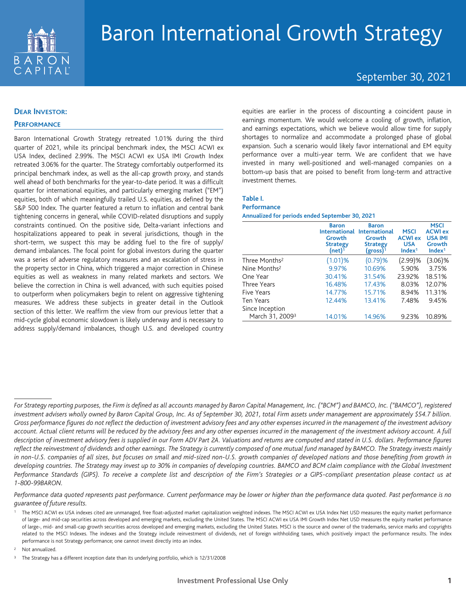

# September 30, 2021

## **DEAR INVESTOR:**

## **PERFORMANCE**

Baron International Growth Strategy retreated 1.01% during the third quarter of 2021, while its principal benchmark index, the MSCI ACWI ex USA Index, declined 2.99%. The MSCI ACWI ex USA IMI Growth Index retreated 3.06% for the quarter. The Strategy comfortably outperformed its principal benchmark index, as well as the all-cap growth proxy, and stands well ahead of both benchmarks for the year-to-date period. It was a difficult quarter for international equities, and particularly emerging market ("EM") equities, both of which meaningfully trailed U.S. equities, as defined by the S&P 500 Index. The quarter featured a return to inflation and central bank tightening concerns in general, while COVID-related disruptions and supply constraints continued. On the positive side, Delta-variant infections and hospitalizations appeared to peak in several jurisdictions, though in the short-term, we suspect this may be adding fuel to the fire of supply/ demand imbalances. The focal point for global investors during the quarter was a series of adverse regulatory measures and an escalation of stress in the property sector in China, which triggered a major correction in Chinese equities as well as weakness in many related markets and sectors. We believe the correction in China is well advanced, with such equities poised to outperform when policymakers begin to relent on aggressive tightening measures. We address these subjects in greater detail in the Outlook section of this letter. We reaffirm the view from our previous letter that a mid-cycle global economic slowdown is likely underway and is necessary to address supply/demand imbalances, though U.S. and developed country

equities are earlier in the process of discounting a coincident pause in earnings momentum. We would welcome a cooling of growth, inflation, and earnings expectations, which we believe would allow time for supply shortages to normalize and accommodate a prolonged phase of global expansion. Such a scenario would likely favor international and EM equity performance over a multi-year term. We are confident that we have invested in many well-positioned and well-managed companies on a bottom-up basis that are poised to benefit from long-term and attractive investment themes.

## **Table I.**

### **Performance**

**Annualized for periods ended September 30, 2021**

|                             | <b>Baron</b><br><b>International</b><br>Growth<br><b>Strategy</b><br>(net) <sup>1</sup> | <b>Baron</b><br><b>International</b><br>Growth<br><b>Strategy</b><br>$(gross)^1$ | <b>MSCI</b><br><b>ACWI ex</b><br><b>USA</b><br>Index <sup>1</sup> | <b>MSCI</b><br><b>ACWI ex</b><br><b>USA IMI</b><br>Growth<br>Index <sup>1</sup> |
|-----------------------------|-----------------------------------------------------------------------------------------|----------------------------------------------------------------------------------|-------------------------------------------------------------------|---------------------------------------------------------------------------------|
| Three Months <sup>2</sup>   | (1.01)%                                                                                 | (0.79)%                                                                          | (2.99)%                                                           | $(3.06)\%$                                                                      |
| Nine Months <sup>2</sup>    | 9.97%                                                                                   | 10.69%                                                                           | 5.90%                                                             | 3.75%                                                                           |
| One Year                    | 30.41%                                                                                  | 31.54%                                                                           | 23.92%                                                            | 18.51%                                                                          |
| Three Years                 | 16.48%                                                                                  | 17.43%                                                                           | 8.03%                                                             | 12.07%                                                                          |
| Five Years                  | 14.77%                                                                                  | 15.71%                                                                           | 8.94%                                                             | 11.31%                                                                          |
| Ten Years                   | 12.44%                                                                                  | 13.41%                                                                           | 7.48%                                                             | 9.45%                                                                           |
| Since Inception             |                                                                                         |                                                                                  |                                                                   |                                                                                 |
| March 31, 2009 <sup>3</sup> | 14.01%                                                                                  | 14.96%                                                                           | 9.23%                                                             | 10.89%                                                                          |

*Performance data quoted represents past performance. Current performance may be lower or higher than the performance data quoted. Past performance is no guarantee of future results.*

<sup>2</sup> Not annualized.

*For Strategy reporting purposes, the Firm is defined as all accounts managed by Baron Capital Management, Inc. ("BCM") and BAMCO, Inc. ("BAMCO"), registered investment advisers wholly owned by Baron Capital Group, Inc. As of September 30, 2021, total Firm assets under management are approximately \$54.7 billion. Gross performance figures do not reflect the deduction of investment advisory fees and any other expenses incurred in the management of the investment advisory account. Actual client returns will be reduced by the advisory fees and any other expenses incurred in the management of the investment advisory account. A full description of investment advisory fees is supplied in our Form ADV Part 2A. Valuations and returns are computed and stated in U.S. dollars. Performance figures reflect the reinvestment of dividends and other earnings. The Strategy is currently composed of one mutual fund managed by BAMCO. The Strategy invests mainly in non-U.S. companies of all sizes, but focuses on small and mid-sized non-U.S. growth companies of developed nations and those benefiting from growth in developing countries. The Strategy may invest up to 30% in companies of developing countries. BAMCO and BCM claim compliance with the Global Investment Performance Standards (GIPS). To receive a complete list and description of the Firm's Strategies or a GIPS-compliant presentation please contact us at 1-800-99BARON.*

<sup>1</sup> The MSCI ACWI ex USA indexes cited are unmanaged, free float-adjusted market capitalization weighted indexes. The MSCI ACWI ex USA Index Net USD measures the equity market performance of large- and mid-cap securities across developed and emerging markets, excluding the United States. The MSCI ACWI ex USA IMI Growth Index Net USD measures the equity market performance of large-, mid- and small-cap growth securities across developed and emerging markets, excluding the United States. MSCI is the source and owner of the trademarks, service marks and copyrights related to the MSCI Indexes. The indexes and the Strategy include reinvestment of dividends, net of foreign withholding taxes, which positively impact the performance results. The index performance is not Strategy performance; one cannot invest directly into an index.

<sup>&</sup>lt;sup>3</sup> The Strategy has a different inception date than its underlying portfolio, which is 12/31/2008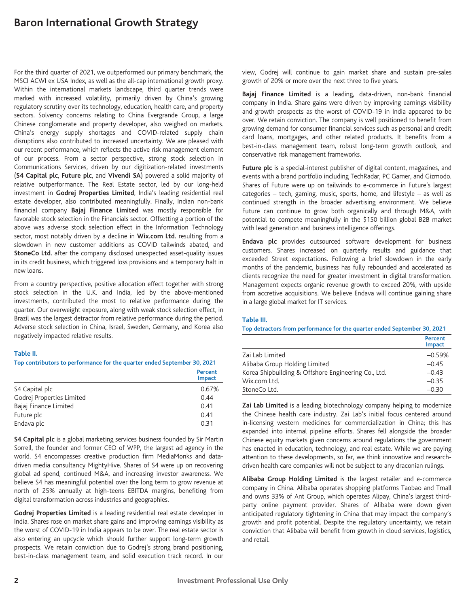For the third quarter of 2021, we outperformed our primary benchmark, the MSCI ACWI ex USA Index, as well as the all-cap international growth proxy. Within the international markets landscape, third quarter trends were marked with increased volatility, primarily driven by China's growing regulatory scrutiny over its technology, education, health care, and property sectors. Solvency concerns relating to China Evergrande Group, a large Chinese conglomerate and property developer, also weighed on markets. China's energy supply shortages and COVID-related supply chain disruptions also contributed to increased uncertainty. We are pleased with our recent performance, which reflects the active risk management element of our process. From a sector perspective, strong stock selection in Communications Services, driven by our digitization-related investments (**S4 Capital plc**, **Future plc**, and **Vivendi SA**) powered a solid majority of relative outperformance. The Real Estate sector, led by our long-held investment in **Godrej Properties Limited**, India's leading residential real estate developer, also contributed meaningfully. Finally, Indian non-bank financial company **Bajaj Finance Limited** was mostly responsible for favorable stock selection in the Financials sector. Offsetting a portion of the above was adverse stock selection effect in the Information Technology sector, most notably driven by a decline in **Wix.com Ltd.** resulting from a slowdown in new customer additions as COVID tailwinds abated, and **StoneCo Ltd.** after the company disclosed unexpected asset-quality issues in its credit business, which triggered loss provisions and a temporary halt in new loans.

From a country perspective, positive allocation effect together with strong stock selection in the U.K. and India, led by the above-mentioned investments, contributed the most to relative performance during the quarter. Our overweight exposure, along with weak stock selection effect, in Brazil was the largest detractor from relative performance during the period. Adverse stock selection in China, Israel, Sweden, Germany, and Korea also negatively impacted relative results.

## **Table II.**

**Top contributors to performance for the quarter ended September 30, 2021**

|                           | Percent<br><b>Impact</b> |
|---------------------------|--------------------------|
| S4 Capital plc            | 0.67%                    |
| Godrej Properties Limited | 0.44                     |
| Bajaj Finance Limited     | 0.41                     |
| Future plc                | 0.41                     |
| Endava plc                | 0.31                     |

**S4 Capital plc** is a global marketing services business founded by Sir Martin Sorrell, the founder and former CEO of WPP, the largest ad agency in the world. S4 encompasses creative production firm MediaMonks and datadriven media consultancy MightyHive. Shares of S4 were up on recovering global ad spend, continued M&A, and increasing investor awareness. We believe S4 has meaningful potential over the long term to grow revenue at north of 25% annually at high-teens EBITDA margins, benefiting from digital transformation across industries and geographies.

**Godrej Properties Limited** is a leading residential real estate developer in India. Shares rose on market share gains and improving earnings visibility as the worst of COVID-19 in India appears to be over. The real estate sector is also entering an upcycle which should further support long-term growth prospects. We retain conviction due to Godrej's strong brand positioning, best-in-class management team, and solid execution track record. In our

view, Godrej will continue to gain market share and sustain pre-sales growth of 20% or more over the next three to five years.

**Bajaj Finance Limited** is a leading, data-driven, non-bank financial company in India. Share gains were driven by improving earnings visibility and growth prospects as the worst of COVID-19 in India appeared to be over. We retain conviction. The company is well positioned to benefit from growing demand for consumer financial services such as personal and credit card loans, mortgages, and other related products. It benefits from a best-in-class management team, robust long-term growth outlook, and conservative risk management frameworks.

**Future plc** is a special-interest publisher of digital content, magazines, and events with a brand portfolio including TechRadar, PC Gamer, and Gizmodo. Shares of Future were up on tailwinds to e-commerce in Future's largest categories – tech, gaming, music, sports, home, and lifestyle – as well as continued strength in the broader advertising environment. We believe Future can continue to grow both organically and through M&A, with potential to compete meaningfully in the \$150 billion global B2B market with lead generation and business intelligence offerings.

**Endava plc** provides outsourced software development for business customers. Shares increased on quarterly results and guidance that exceeded Street expectations. Following a brief slowdown in the early months of the pandemic, business has fully rebounded and accelerated as clients recognize the need for greater investment in digital transformation. Management expects organic revenue growth to exceed 20%, with upside from accretive acquisitions. We believe Endava will continue gaining share in a large global market for IT services.

#### **Table III.**

**Top detractors from performance for the quarter ended September 30, 2021**

|                                                     | Percent<br><b>Impact</b> |
|-----------------------------------------------------|--------------------------|
| Zai Lab Limited                                     | $-0.59%$                 |
| Alibaba Group Holding Limited                       | $-0.45$                  |
| Korea Shipbuilding & Offshore Engineering Co., Ltd. | $-0.43$                  |
| Wix.com Ltd.                                        | $-0.35$                  |
| StoneCo Ltd.                                        | $-0.30$                  |

**Zai Lab Limited** is a leading biotechnology company helping to modernize the Chinese health care industry. Zai Lab's initial focus centered around in-licensing western medicines for commercialization in China; this has expanded into internal pipeline efforts. Shares fell alongside the broader Chinese equity markets given concerns around regulations the government has enacted in education, technology, and real estate. While we are paying attention to these developments, so far, we think innovative and researchdriven health care companies will not be subject to any draconian rulings.

**Alibaba Group Holding Limited** is the largest retailer and e-commerce company in China. Alibaba operates shopping platforms Taobao and Tmall and owns 33% of Ant Group, which operates Alipay, China's largest thirdparty online payment provider. Shares of Alibaba were down given anticipated regulatory tightening in China that may impact the company's growth and profit potential. Despite the regulatory uncertainty, we retain conviction that Alibaba will benefit from growth in cloud services, logistics, and retail.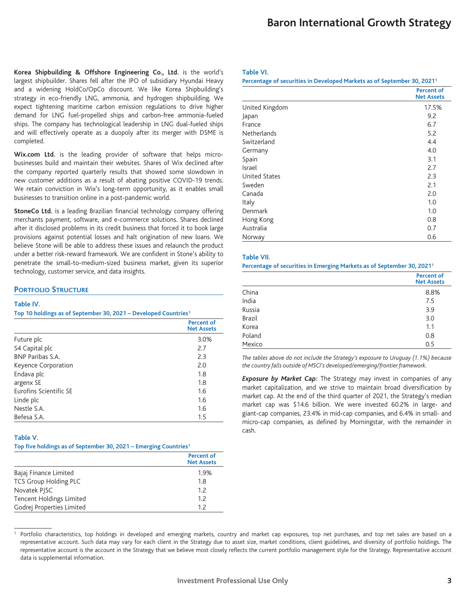**Korea Shipbuilding & Offshore Engineering Co., Ltd.** is the world's largest shipbuilder. Shares fell after the IPO of subsidiary Hyundai Heavy and a widening HoldCo/OpCo discount. We like Korea Shipbuilding's strategy in eco-friendly LNG, ammonia, and hydrogen shipbuilding. We expect tightening maritime carbon emission regulations to drive higher demand for LNG fuel-propelled ships and carbon-free ammonia-fueled ships. The company has technological leadership in LNG dual-fueled ships and will effectively operate as a duopoly after its merger with DSME is completed.

**Wix.com Ltd.** is the leading provider of software that helps microbusinesses build and maintain their websites. Shares of Wix declined after the company reported quarterly results that showed some slowdown in new customer additions as a result of abating positive COVID-19 trends. We retain conviction in Wix's long-term opportunity, as it enables small businesses to transition online in a post-pandemic world.

**StoneCo Ltd.** is a leading Brazilian financial technology company offering merchants payment, software, and e-commerce solutions. Shares declined after it disclosed problems in its credit business that forced it to book large provisions against potential losses and halt origination of new loans. We believe Stone will be able to address these issues and relaunch the product under a better risk-reward framework. We are confident in Stone's ability to penetrate the small-to-medium-sized business market, given its superior technology, customer service, and data insights.

## **PORTFOLIO STRUCTURE**

#### **Table IV.**

**Top 10 holdings as of September 30, 2021 – Developed Countries1**

|                               | <b>Percent of</b><br><b>Net Assets</b> |
|-------------------------------|----------------------------------------|
| Future plc                    | 3.0%                                   |
| S4 Capital plc                | 2.7                                    |
| <b>BNP Paribas S.A.</b>       | 2.3                                    |
| Keyence Corporation           | 2.0                                    |
| Endava plc                    | 1.8                                    |
| argenx SE                     | 1.8                                    |
| <b>Furofins Scientific SF</b> | 1.6                                    |
| Linde plc                     | 1.6                                    |
| Nestle S.A.                   | 1.6                                    |
| Befesa S.A.                   | 1.5                                    |

## **Table V.**

|  |  | Top five holdings as of September 30, 2021 – Emerging Countries <sup>1</sup> |
|--|--|------------------------------------------------------------------------------|
|--|--|------------------------------------------------------------------------------|

|                                 | Percent of<br><b>Net Assets</b> |
|---------------------------------|---------------------------------|
| Bajaj Finance Limited           | 1.9%                            |
| TCS Group Holding PLC           | 1.8                             |
| Novatek PISC                    | 1.7                             |
| <b>Tencent Holdings Limited</b> | 12                              |
| Godrej Properties Limited       | 12                              |

### **Table VI.**

**Percentage of securities in Developed Markets as of September 30, 20211**

|                      | <b>Percent of</b><br><b>Net Assets</b> |
|----------------------|----------------------------------------|
| United Kingdom       | 17.5%                                  |
| Japan                | 9.2                                    |
| France               | 6.7                                    |
| <b>Netherlands</b>   | 5.2                                    |
| Switzerland          | 4.4                                    |
| Germany              | 4.0                                    |
| Spain                | 3.1                                    |
| Israel               | 2.7                                    |
| <b>United States</b> | 2.3                                    |
| Sweden               | 2.1                                    |
| Canada               | 2.0                                    |
| Italy                | 1.0                                    |
| Denmark              | 1.0                                    |
| Hong Kong            | 0.8                                    |
| Australia            | 0.7                                    |
| Norway               | 0.6                                    |

#### **Table VII.**

#### **Percentage of securities in Emerging Markets as of September 30, 20211**

|               | <b>Percent of</b><br><b>Net Assets</b> |
|---------------|----------------------------------------|
| China         | 8.8%                                   |
| India         | 7.5                                    |
| Russia        | 3.9                                    |
| <b>Brazil</b> | 3.0                                    |
| Korea         | 1.1                                    |
| Poland        | 0.8                                    |
| Mexico        | 0.5                                    |

*The tables above do not include the Strategy's exposure to Uruguay (1.1%) because the country falls outside of MSCI's developed/emerging/frontier framework.*

*Exposure by Market Cap:* The Strategy may invest in companies of any market capitalization, and we strive to maintain broad diversification by market cap. At the end of the third quarter of 2021, the Strategy's median market cap was \$14.6 billion. We were invested 60.2% in large- and giant-cap companies, 23.4% in mid-cap companies, and 6.4% in small- and micro-cap companies, as defined by Morningstar, with the remainder in cash.

Portfolio characteristics, top holdings in developed and emerging markets, country and market cap exposures, top net purchases, and top net sales are based on a representative account. Such data may vary for each client in the Strategy due to asset size, market conditions, client guidelines, and diversity of portfolio holdings. The representative account is the account in the Strategy that we believe most closely reflects the current portfolio management style for the Strategy. Representative account data is supplemental information.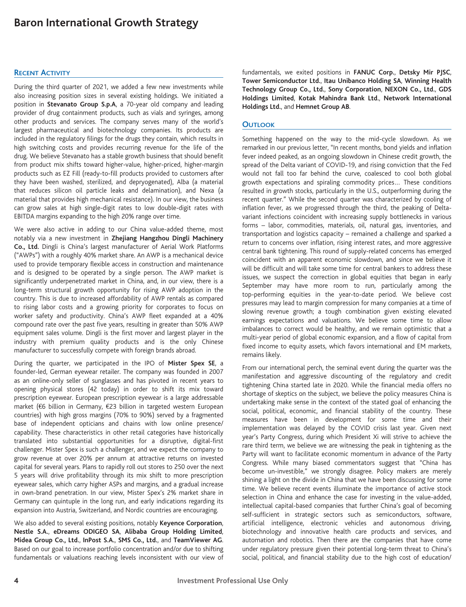## **RECENT ACTIVITY**

During the third quarter of 2021, we added a few new investments while also increasing position sizes in several existing holdings. We initiated a position in **Stevanato Group S.p.A**, a 70-year old company and leading provider of drug containment products, such as vials and syringes, among other products and services. The company serves many of the world's largest pharmaceutical and biotechnology companies. Its products are included in the regulatory filings for the drugs they contain, which results in high switching costs and provides recurring revenue for the life of the drug. We believe Stevanato has a stable growth business that should benefit from product mix shifts toward higher-value, higher-priced, higher-margin products such as EZ Fill (ready-to-fill products provided to customers after they have been washed, sterilized, and depryogenated), Alba (a material that reduces silicon oil particle leaks and delamination), and Nexa (a material that provides high mechanical resistance). In our view, the business can grow sales at high single-digit rates to low double-digit rates with EBITDA margins expanding to the high 20% range over time.

We were also active in adding to our China value-added theme, most notably via a new investment in **Zhejiang Hangzhou Dingli Machinery Co., Ltd.** Dingli is China's largest manufacturer of Aerial Work Platforms ("AWPs") with a roughly 40% market share. An AWP is a mechanical device used to provide temporary flexible access in construction and maintenance and is designed to be operated by a single person. The AWP market is significantly underpenetrated market in China, and, in our view, there is a long-term structural growth opportunity for rising AWP adoption in the country. This is due to increased affordability of AWP rentals as compared to rising labor costs and a growing priority for corporates to focus on worker safety and productivity. China's AWP fleet expanded at a 40% compound rate over the past five years, resulting in greater than 50% AWP equipment sales volume. Dingli is the first mover and largest player in the industry with premium quality products and is the only Chinese manufacturer to successfully compete with foreign brands abroad.

During the quarter, we participated in the IPO of **Mister Spex SE**, a founder-led, German eyewear retailer. The company was founded in 2007 as an online-only seller of sunglasses and has pivoted in recent years to opening physical stores (42 today) in order to shift its mix toward prescription eyewear. European prescription eyewear is a large addressable market (€6 billion in Germany, €23 billion in targeted western European countries) with high gross margins (70% to 90%) served by a fragmented base of independent opticians and chains with low online presence/ capability. These characteristics in other retail categories have historically translated into substantial opportunities for a disruptive, digital-first challenger. Mister Spex is such a challenger, and we expect the company to grow revenue at over 20% per annum at attractive returns on invested capital for several years. Plans to rapidly roll out stores to 250 over the next 5 years will drive profitability through its mix shift to more prescription eyewear sales, which carry higher ASPs and margins, and a gradual increase in own-brand penetration. In our view, Mister Spex's 2% market share in Germany can quintuple in the long run, and early indications regarding its expansion into Austria, Switzerland, and Nordic countries are encouraging.

We also added to several existing positions, notably **Keyence Corporation**, **Nestle S.A.**, **eDreams ODIGEO SA**, **Alibaba Group Holding Limited**, **Midea Group Co., Ltd.**, **InPost S.A.**, **SMS Co., Ltd.**, and **TeamViewer AG**. Based on our goal to increase portfolio concentration and/or due to shifting fundamentals or valuations reaching levels inconsistent with our view of fundamentals, we exited positions in **FANUC Corp.**, **Detsky Mir PJSC**, **Tower Semiconductor Ltd.**, **Itau Unibanco Holding SA**, **Winning Health Technology Group Co., Ltd.**, **Sony Corporation**, **NEXON Co., Ltd.**, **GDS Holdings Limited**, **Kotak Mahindra Bank Ltd.**, **Network International Holdings Ltd.**, and **Hemnet Group AB**.

## **OUTLOOK**

Something happened on the way to the mid-cycle slowdown. As we remarked in our previous letter, "In recent months, bond yields and inflation fever indeed peaked, as an ongoing slowdown in Chinese credit growth, the spread of the Delta variant of COVID-19, and rising conviction that the Fed would not fall too far behind the curve, coalesced to cool both global growth expectations and spiraling commodity prices… These conditions resulted in growth stocks, particularly in the U.S., outperforming during the recent quarter." While the second quarter was characterized by cooling of inflation fever, as we progressed through the third, the peaking of Deltavariant infections coincident with increasing supply bottlenecks in various forms – labor, commodities, materials, oil, natural gas, inventories, and transportation and logistics capacity – remained a challenge and sparked a return to concerns over inflation, rising interest rates, and more aggressive central bank tightening. This round of supply-related concerns has emerged coincident with an apparent economic slowdown, and since we believe it will be difficult and will take some time for central bankers to address these issues, we suspect the correction in global equities that began in early September may have more room to run, particularly among the top-performing equities in the year-to-date period. We believe cost pressures may lead to margin compression for many companies at a time of slowing revenue growth; a tough combination given existing elevated earnings expectations and valuations. We believe some time to allow imbalances to correct would be healthy, and we remain optimistic that a multi-year period of global economic expansion, and a flow of capital from fixed income to equity assets, which favors international and EM markets, remains likely.

From our international perch, the seminal event during the quarter was the manifestation and aggressive discounting of the regulatory and credit tightening China started late in 2020. While the financial media offers no shortage of skeptics on the subject, we believe the policy measures China is undertaking make sense in the context of the stated goal of enhancing the social, political, economic, and financial stability of the country. These measures have been in development for some time and their implementation was delayed by the COVID crisis last year. Given next year's Party Congress, during which President Xi will strive to achieve the rare third term, we believe we are witnessing the peak in tightening as the Party will want to facilitate economic momentum in advance of the Party Congress. While many biased commentators suggest that "China has become un-investible," we strongly disagree. Policy makers are merely shining a light on the divide in China that we have been discussing for some time. We believe recent events illuminate the importance of active stock selection in China and enhance the case for investing in the value-added, intellectual capital-based companies that further China's goal of becoming self-sufficient in strategic sectors such as semiconductors, software, artificial intelligence, electronic vehicles and autonomous driving, biotechnology and innovative health care products and services, and automation and robotics. Then there are the companies that have come under regulatory pressure given their potential long-term threat to China's social, political, and financial stability due to the high cost of education/